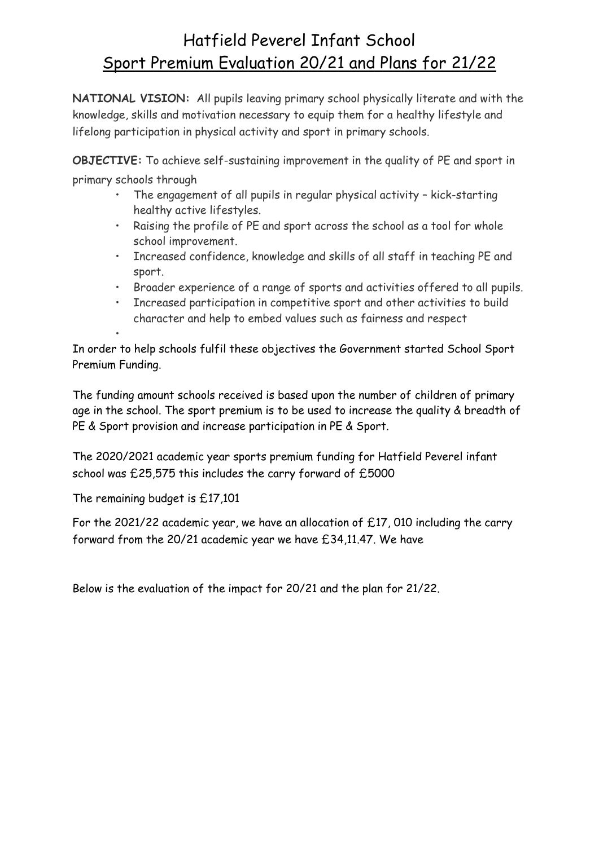## Hatfield Peverel Infant School Sport Premium Evaluation 20/21 and Plans for 21/22

**NATIONAL VISION:** All pupils leaving primary school physically literate and with the knowledge, skills and motivation necessary to equip them for a healthy lifestyle and lifelong participation in physical activity and sport in primary schools.

**OBJECTIVE:** To achieve self-sustaining improvement in the quality of PE and sport in primary schools through

- The engagement of all pupils in regular physical activity kick-starting healthy active lifestyles.
- Raising the profile of PE and sport across the school as a tool for whole school improvement.
- Increased confidence, knowledge and skills of all staff in teaching PE and sport.
- Broader experience of a range of sports and activities offered to all pupils.
- Increased participation in competitive sport and other activities to build character and help to embed values such as fairness and respect

In order to help schools fulfil these objectives the Government started School Sport Premium Funding.

The funding amount schools received is based upon the number of children of primary age in the school. The sport premium is to be used to increase the quality & breadth of PE & Sport provision and increase participation in PE & Sport.

The 2020/2021 academic year sports premium funding for Hatfield Peverel infant school was £25,575 this includes the carry forward of £5000

The remaining budget is £17,101

•

For the 2021/22 academic year, we have an allocation of £17, 010 including the carry forward from the 20/21 academic year we have £34,11.47. We have

Below is the evaluation of the impact for 20/21 and the plan for 21/22.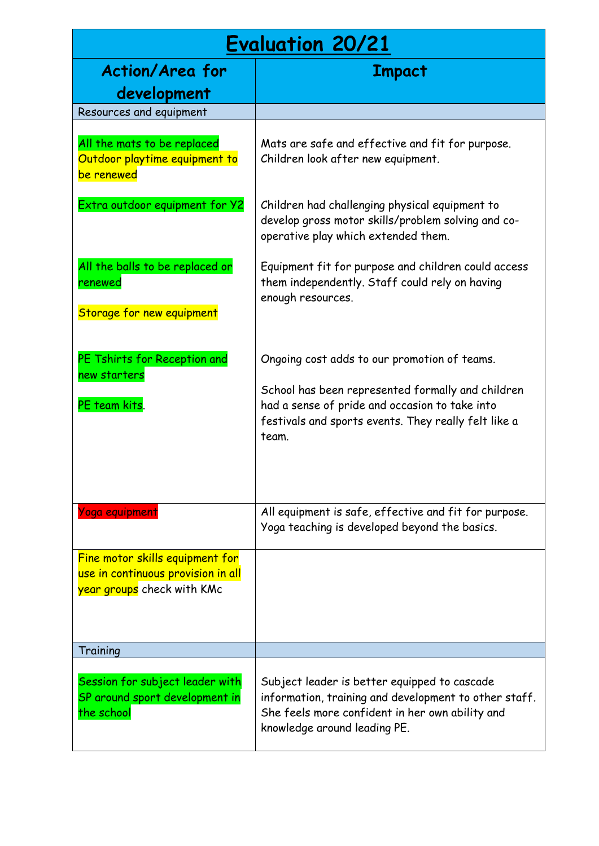| <b>Evaluation 20/21</b>                                                                             |                                                                                                                                                                                          |
|-----------------------------------------------------------------------------------------------------|------------------------------------------------------------------------------------------------------------------------------------------------------------------------------------------|
| <b>Action/Area for</b><br>development                                                               | <b>Impact</b>                                                                                                                                                                            |
| Resources and equipment                                                                             |                                                                                                                                                                                          |
| All the mats to be replaced<br>Outdoor playtime equipment to<br>be renewed                          | Mats are safe and effective and fit for purpose.<br>Children look after new equipment.                                                                                                   |
| Extra outdoor equipment for Y2                                                                      | Children had challenging physical equipment to<br>develop gross motor skills/problem solving and co-<br>operative play which extended them.                                              |
| All the balls to be replaced or<br>renewed                                                          | Equipment fit for purpose and children could access<br>them independently. Staff could rely on having<br>enough resources.                                                               |
| Storage for new equipment                                                                           |                                                                                                                                                                                          |
| PE Tshirts for Reception and<br>new starters                                                        | Ongoing cost adds to our promotion of teams.                                                                                                                                             |
| PE team kits.                                                                                       | School has been represented formally and children<br>had a sense of pride and occasion to take into<br>festivals and sports events. They really felt like a<br>team.                     |
| <b>Yoga equipment</b>                                                                               | All equipment is safe, effective and fit for purpose.<br>Yoga teaching is developed beyond the basics.                                                                                   |
| Fine motor skills equipment for<br>use in continuous provision in all<br>year groups check with KMc |                                                                                                                                                                                          |
| Training                                                                                            |                                                                                                                                                                                          |
| Session for subject leader with<br>SP around sport development in<br>the school                     | Subject leader is better equipped to cascade<br>information, training and development to other staff.<br>She feels more confident in her own ability and<br>knowledge around leading PE. |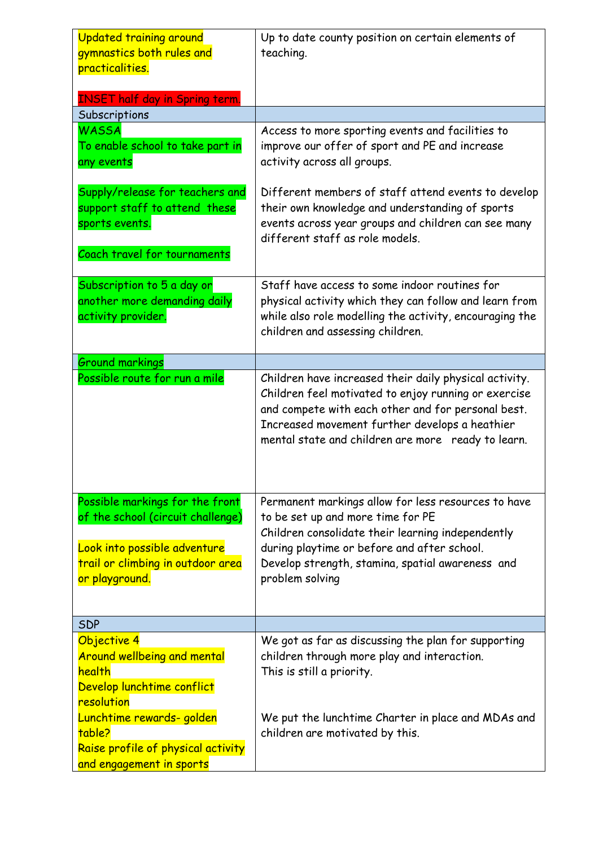| <b>Updated training around</b><br>gymnastics both rules and<br>practicalities.<br><b>INSET half day in Spring term</b> | Up to date county position on certain elements of<br>teaching.                                                                                                                                                                                                               |
|------------------------------------------------------------------------------------------------------------------------|------------------------------------------------------------------------------------------------------------------------------------------------------------------------------------------------------------------------------------------------------------------------------|
| Subscriptions                                                                                                          |                                                                                                                                                                                                                                                                              |
| <b>WASSA</b><br>To enable school to take part in<br>any events<br>Supply/release for teachers and                      | Access to more sporting events and facilities to<br>improve our offer of sport and PE and increase<br>activity across all groups.<br>Different members of staff attend events to develop                                                                                     |
| support staff to attend these<br>sports events.<br>Coach travel for tournaments                                        | their own knowledge and understanding of sports<br>events across year groups and children can see many<br>different staff as role models.                                                                                                                                    |
| Subscription to 5 a day or<br>another more demanding daily<br>activity provider.                                       | Staff have access to some indoor routines for<br>physical activity which they can follow and learn from<br>while also role modelling the activity, encouraging the<br>children and assessing children.                                                                       |
| <b>Ground markings</b>                                                                                                 |                                                                                                                                                                                                                                                                              |
| Possible route for run a mile                                                                                          | Children have increased their daily physical activity.<br>Children feel motivated to enjoy running or exercise<br>and compete with each other and for personal best.<br>Increased movement further develops a heathier<br>mental state and children are more ready to learn. |
| Possible markings for the front<br>of the school (circuit challenge)                                                   | Permanent markings allow for less resources to have<br>to be set up and more time for PE<br>Children consolidate their learning independently                                                                                                                                |
| Look into possible adventure<br>trail or climbing in outdoor area<br>or playground.                                    | during playtime or before and after school.<br>Develop strength, stamina, spatial awareness and<br>problem solving                                                                                                                                                           |
| <b>SDP</b>                                                                                                             |                                                                                                                                                                                                                                                                              |
| Objective 4<br><b>Around wellbeing and mental</b><br>health<br>Develop lunchtime conflict<br>resolution                | We got as far as discussing the plan for supporting<br>children through more play and interaction.<br>This is still a priority.                                                                                                                                              |
| Lunchtime rewards- golden<br>table?<br>Raise profile of physical activity<br>and engagement in sports                  | We put the lunchtime Charter in place and MDAs and<br>children are motivated by this.                                                                                                                                                                                        |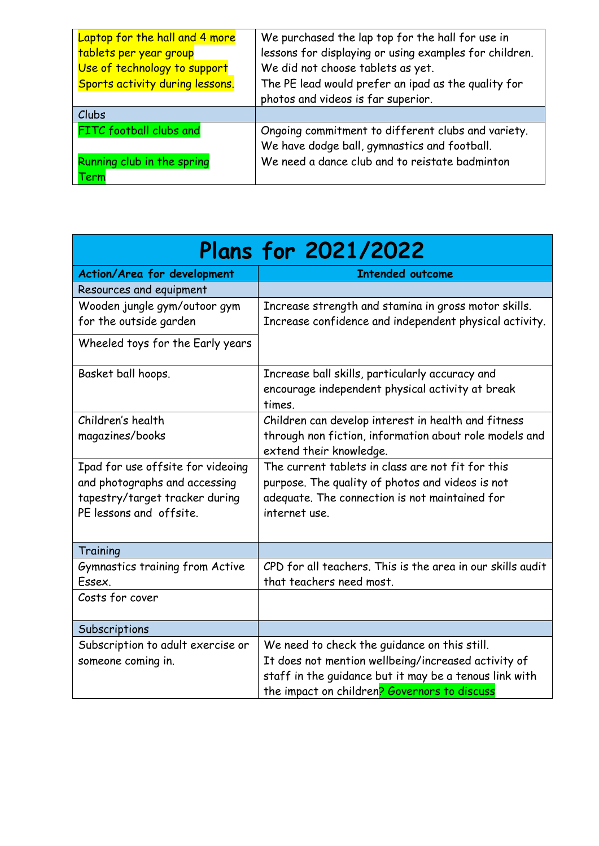| Laptop for the hall and 4 more  | We purchased the lap top for the hall for use in       |
|---------------------------------|--------------------------------------------------------|
| tablets per year group          | lessons for displaying or using examples for children. |
| Use of technology to support    | We did not choose tablets as yet.                      |
| Sports activity during lessons. | The PE lead would prefer an ipad as the quality for    |
|                                 | photos and videos is far superior.                     |
| Clubs                           |                                                        |
| FITC football clubs and         | Ongoing commitment to different clubs and variety.     |
|                                 | We have dodge ball, gymnastics and football.           |
| Running club in the spring      | We need a dance club and to reistate badminton         |
| Term                            |                                                        |

|                                                                                                                                 | <b>Plans for 2021/2022</b>                                                                                                                                                                                    |
|---------------------------------------------------------------------------------------------------------------------------------|---------------------------------------------------------------------------------------------------------------------------------------------------------------------------------------------------------------|
| <b>Action/Area for development</b>                                                                                              | <b>Intended outcome</b>                                                                                                                                                                                       |
| Resources and equipment                                                                                                         |                                                                                                                                                                                                               |
| Wooden jungle gym/outoor gym<br>for the outside garden                                                                          | Increase strength and stamina in gross motor skills.<br>Increase confidence and independent physical activity.                                                                                                |
| Wheeled toys for the Early years                                                                                                |                                                                                                                                                                                                               |
| Basket ball hoops.                                                                                                              | Increase ball skills, particularly accuracy and<br>encourage independent physical activity at break<br>times.                                                                                                 |
| Children's health<br>magazines/books                                                                                            | Children can develop interest in health and fitness<br>through non fiction, information about role models and<br>extend their knowledge.                                                                      |
| Ipad for use offsite for videoing<br>and photographs and accessing<br>tapestry/target tracker during<br>PE lessons and offsite. | The current tablets in class are not fit for this<br>purpose. The quality of photos and videos is not<br>adequate. The connection is not maintained for<br>internet use.                                      |
| Training                                                                                                                        |                                                                                                                                                                                                               |
| Gymnastics training from Active<br>Essex.<br>Costs for cover                                                                    | CPD for all teachers. This is the area in our skills audit<br>that teachers need most.                                                                                                                        |
| Subscriptions                                                                                                                   |                                                                                                                                                                                                               |
| Subscription to adult exercise or<br>someone coming in.                                                                         | We need to check the guidance on this still.<br>It does not mention wellbeing/increased activity of<br>staff in the guidance but it may be a tenous link with<br>the impact on children? Governors to discuss |